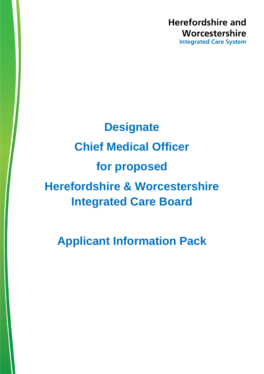**Herefordshire and** Worcestershire **Integrated Care System** 

# **Designate Chief Medical Officer for proposed Herefordshire & Worcestershire Integrated Care Board**

**Applicant Information Pack**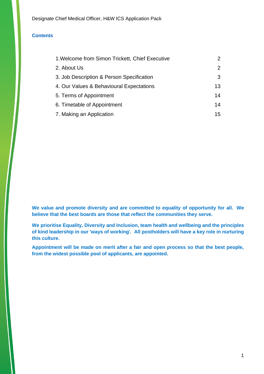#### **Contents**

| 1. Welcome from Simon Trickett, Chief Executive | $\mathcal{P}$ |
|-------------------------------------------------|---------------|
| 2. About Us                                     | $\mathcal{P}$ |
| 3. Job Description & Person Specification       | 3             |
| 4. Our Values & Behavioural Expectations        | 13            |
| 5. Terms of Appointment                         | 14            |
| 6. Timetable of Appointment                     | 14            |
| 7. Making an Application                        | 15            |

**We value and promote diversity and are committed to equality of opportunity for all. We believe that the best boards are those that reflect the communities they serve.**

**We prioritise Equality, Diversity and Inclusion, team health and wellbeing and the principles of kind leadership in our 'ways of working'. All postholders will have a key role in nurturing this culture.**

**Appointment will be made on merit after a fair and open process so that the best people, from the widest possible pool of applicants, are appointed.**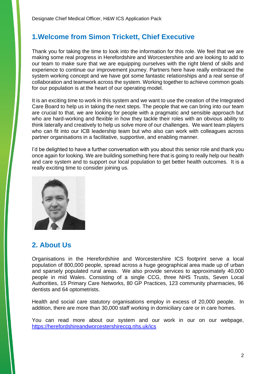## <span id="page-2-0"></span>**1.Welcome from Simon Trickett, Chief Executive**

Thank you for taking the time to look into the information for this role. We feel that we are making some real progress in Herefordshire and Worcestershire and are looking to add to our team to make sure that we are equipping ourselves with the right blend of skills and experience to continue our improvement journey. Partners here have really embraced the system working concept and we have got some fantastic relationships and a real sense of collaboration and teamwork across the system. Working together to achieve common goals for our population is at the heart of our operating model.

It is an exciting time to work in this system and we want to use the creation of the Integrated Care Board to help us in taking the next steps. The people that we can bring into our team are crucial to that, we are looking for people with a pragmatic and sensible approach but who are hard-working and flexible in how they tackle their roles with an obvious ability to think laterally and creatively to help us solve more of our challenges. We want team players who can fit into our ICB leadership team but who also can work with colleagues across partner organisations in a facilitative, supportive, and enabling manner.

I'd be delighted to have a further conversation with you about this senior role and thank you once again for looking. We are building something here that is going to really help our health and care system and to support our local population to get better health outcomes. It is a really exciting time to consider joining us.



## <span id="page-2-1"></span>**2. About Us**

Organisations in the Herefordshire and Worcestershire ICS footprint serve a local population of 800,000 people, spread across a huge geographical area made up of urban and sparsely populated rural areas. We also provide services to approximately 40,000 people in mid Wales. Consisting of a single CCG, three NHS Trusts, Seven Local Authorities, 15 Primary Care Networks, 80 GP Practices, 123 community pharmacies, 96 dentists and 64 optometrists.

Health and social care statutory organisations employ in excess of 20,000 people. In addition, there are more than 30,000 staff working in domiciliary care or in care homes.

You can read more about our system and our work in our on our webpage, <https://herefordshireandworcestershireccg.nhs.uk/ics>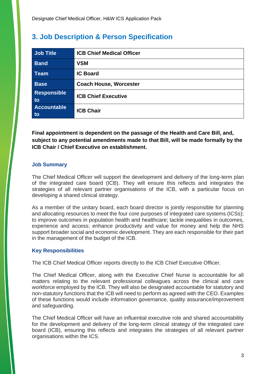# <span id="page-3-0"></span>**3. Job Description & Person Specification**

| Job Title                | <b>ICB Chief Medical Officer</b> |
|--------------------------|----------------------------------|
| <b>Band</b>              | <b>VSM</b>                       |
| Team                     | <b>IC Board</b>                  |
| <b>Base</b>              | <b>Coach House, Worcester</b>    |
| Responsible<br>to        | <b>ICB Chief Executive</b>       |
| <b>Accountable</b><br>to | <b>ICB Chair</b>                 |

**Final appointment is dependent on the passage of the Health and Care Bill, and, subject to any potential amendments made to that Bill, will be made formally by the ICB Chair / Chief Executive on establishment.**

#### **Job Summary**

The Chief Medical Officer will support the development and delivery of the long-term plan of the integrated care board (ICB). They will ensure this reflects and integrates the strategies of all relevant partner organisations of the ICB, with a particular focus on developing a shared clinical strategy.

As a member of the unitary board, each board director is jointly responsible for planning and allocating resources to meet the four core purposes of integrated care systems (ICSs); to improve outcomes in population health and healthcare; tackle inequalities in outcomes, experience and access; enhance productivity and value for money and help the NHS support broader social and economic development. They are each responsible for their part in the management of the budget of the ICB.

#### **Key Responsibilities**

The ICB Chief Medical Officer reports directly to the ICB Chief Executive Officer.

The Chief Medical Officer, along with the Executive Chief Nurse is accountable for all matters relating to the relevant professional colleagues across the clinical and care workforce employed by the ICB. They will also be designated accountable for statutory and non-statutory functions that the ICB will need to perform as agreed with the CEO. Examples of these functions would include information governance, quality assurance/improvement and safeguarding.

The Chief Medical Officer will have an influential executive role and shared accountability for the development and delivery of the long-term clinical strategy of the integrated care board (ICB), ensuring this reflects and integrates the strategies of all relevant partner organisations within the ICS.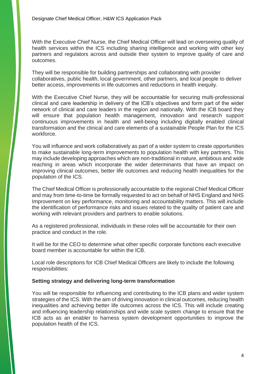With the Executive Chief Nurse, the Chief Medical Officer will lead on overseeing quality of health services within the ICS including sharing intelligence and working with other key partners and regulators across and outside their system to improve quality of care and outcomes.

They will be responsible for building partnerships and collaborating with provider collaboratives, public health, local government, other partners, and local people to deliver better access, improvements in life outcomes and reductions in health inequity.

With the Executive Chief Nurse, they will be accountable for securing multi-professional clinical and care leadership in delivery of the ICB's objectives and form part of the wider network of clinical and care leaders in the region and nationally. With the ICB board they will ensure that population health management, innovation and research support continuous improvements in health and well-being including digitally enabled clinical transformation and the clinical and care elements of a sustainable People Plan for the ICS workforce.

You will influence and work collaboratively as part of a wider system to create opportunities to make sustainable long-term improvements to population health with key partners. This may include developing approaches which are non-traditional in nature, ambitious and wide reaching in areas which incorporate the wider determinants that have an impact on improving clinical outcomes, better life outcomes and reducing health inequalities for the population of the ICS.

The Chief Medical Officer is professionally accountable to the regional Chief Medical Officer and may from time-to-time be formally requested to act on behalf of NHS England and NHS Improvement on key performance, monitoring and accountability matters. This will include the identification of performance risks and issues related to the quality of patient care and working with relevant providers and partners to enable solutions.

As a registered professional, individuals in these roles will be accountable for their own practice and conduct in the role.

It will be for the CEO to determine what other specific corporate functions each executive board member is accountable for within the ICB.

Local role descriptions for ICB Chief Medical Officers are likely to include the following responsibilities:

#### **Setting strategy and delivering long-term transformation**

You will be responsible for influencing and contributing to the ICB plans and wider system strategies of the ICS. With the aim of driving innovation in clinical outcomes, reducing health inequalities and achieving better life outcomes across the ICS. This will include creating and influencing leadership relationships and wide scale system change to ensure that the ICB acts as an enabler to harness system development opportunities to improve the population health of the ICS.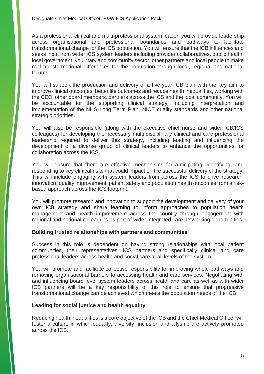As a professional clinical and multi-professional system leader, you will provide leadership across organisational and professional boundaries and pathways to facilitate transformational change for the ICS population. You will ensure that the ICB influences and seeks input from wider ICS system leaders including provider collaboratives, public health, local government, voluntary and community sector, other partners and local people to make real transformational differences for the population through local, regional and national forums.

You will support the production and delivery of a five-year ICB plan with the key aim to improve clinical outcomes, better life outcomes and reduce health inequalities, working with the CEO, other board members, partners across the ICS and the local community. You will be accountable for the supporting clinical strategy, including interpretation and implementation of the NHS Long Term Plan, NICE quality standards and other national strategic priorities.

You will also be responsible (along with the executive chief nurse and wider ICB/ICS colleagues) for developing the necessary multi-disciplinary clinical and care professional leadership required to deliver this strategy, including leading and influencing the development of a diverse group of clinical leaders to enhance the opportunities for collaboration across the ICS.

You will ensure that there are effective mechanisms for anticipating, identifying, and responding to key clinical risks that could impact on the successful delivery of the strategy. This will include engaging with system leaders from across the ICS to drive research, innovation, quality improvement, patient safety and population health outcomes from a riskbased approach across the ICS footprint.

You will promote research and innovation to support the development and delivery of your own ICB strategy and share learning to inform approaches to population health management and health improvement across the country through engagement with regional and national colleagues as part of wider integrated care networking opportunities.

#### **Building trusted relationships with partners and communities**

Success in this role is dependent on having strong relationships with local patient communities, their representatives, ICS partners and specifically clinical and care professional leaders across health and social care at all levels of the system.

You will promote and facilitate collective responsibility for improving whole pathways and removing organisational barriers to accessing health and care services. Negotiating with and influencing board level system leaders across health and care as well as with wider ICS partners will be a key responsibility of this role to ensure that progressive transformational change can be achieved which meets the population needs of the ICB.

#### **Leading for social justice and health equality**

Reducing health inequalities is a core objective of the ICB and the Chief Medical Officer will foster a culture in which equality, diversity, inclusion and allyship are actively promoted across the ICS.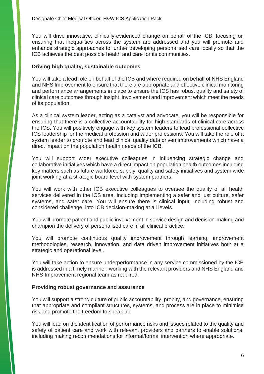You will drive innovative, clinically-evidenced change on behalf of the ICB, focusing on ensuring that inequalities across the system are addressed and you will promote and enhance strategic approaches to further developing personalised care locally so that the ICB achieves the best possible health and care for its communities.

#### **Driving high quality, sustainable outcomes**

You will take a lead role on behalf of the ICB and where required on behalf of NHS England and NHS Improvement to ensure that there are appropriate and effective clinical monitoring and performance arrangements in place to ensure the ICS has robust quality and safety of clinical care outcomes through insight, involvement and improvement which meet the needs of its population.

As a clinical system leader, acting as a catalyst and advocate, you will be responsible for ensuring that there is a collective accountability for high standards of clinical care across the ICS. You will positively engage with key system leaders to lead professional collective ICS leadership for the medical profession and wider professions. You will take the role of a system leader to promote and lead clinical quality data driven improvements which have a direct impact on the population health needs of the ICB.

You will support wider executive colleagues in influencing strategic change and collaborative initiatives which have a direct impact on population health outcomes including key matters such as future workforce supply, quality and safety initiatives and system wide joint working at a strategic board level with system partners.

You will work with other ICB executive colleagues to oversee the quality of all health services delivered in the ICS area, including implementing a safer and just culture, safer systems, and safer care. You will ensure there is clinical input, including robust and considered challenge, into ICB decision-making at all levels.

You will promote patient and public involvement in service design and decision-making and champion the delivery of personalised care in all clinical practice.

You will promote continuous quality improvement through learning, improvement methodologies, research, innovation, and data driven improvement initiatives both at a strategic and operational level.

You will take action to ensure underperformance in any service commissioned by the ICB is addressed in a timely manner, working with the relevant providers and NHS England and NHS Improvement regional team as required.

#### **Providing robust governance and assurance**

You will support a strong culture of public accountability, probity, and governance, ensuring that appropriate and compliant structures, systems, and process are in place to minimise risk and promote the freedom to speak up.

You will lead on the identification of performance risks and issues related to the quality and safety of patient care and work with relevant providers and partners to enable solutions, including making recommendations for informal/formal intervention where appropriate.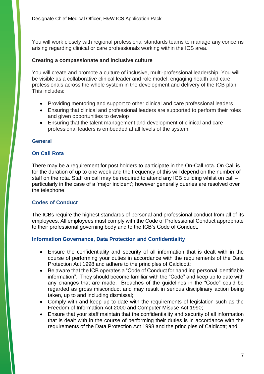You will work closely with regional professional standards teams to manage any concerns arising regarding clinical or care professionals working within the ICS area.

#### **Creating a compassionate and inclusive culture**

You will create and promote a culture of inclusive, multi-professional leadership. You will be visible as a collaborative clinical leader and role model, engaging health and care professionals across the whole system in the development and delivery of the ICB plan. This includes:

- Providing mentoring and support to other clinical and care professional leaders
- Ensuring that clinical and professional leaders are supported to perform their roles and given opportunities to develop
- Ensuring that the talent management and development of clinical and care professional leaders is embedded at all levels of the system.

#### **General**

#### **On Call Rota**

There may be a requirement for post holders to participate in the On-Call rota. On Call is for the duration of up to one week and the frequency of this will depend on the number of staff on the rota. Staff on call may be required to attend any ICB building whilst on call – particularly in the case of a 'major incident'; however generally queries are resolved over the telephone.

#### **Codes of Conduct**

The ICBs require the highest standards of personal and professional conduct from all of its employees. All employees must comply with the Code of Professional Conduct appropriate to their professional governing body and to the ICB's Code of Conduct.

#### **Information Governance, Data Protection and Confidentiality**

- Ensure the confidentiality and security of all information that is dealt with in the course of performing your duties in accordance with the requirements of the Data Protection Act 1998 and adhere to the principles of Caldicott;
- Be aware that the ICB operates a "Code of Conduct for handling personal identifiable information". They should become familiar with the "Code" and keep up to date with any changes that are made. Breaches of the guidelines in the "Code" could be regarded as gross misconduct and may result in serious disciplinary action being taken, up to and including dismissal;
- Comply with and keep up to date with the requirements of legislation such as the Freedom of Information Act 2000 and Computer Misuse Act 1990;
- Ensure that your staff maintain that the confidentiality and security of all information that is dealt with in the course of performing their duties is in accordance with the requirements of the Data Protection Act 1998 and the principles of Caldicott; and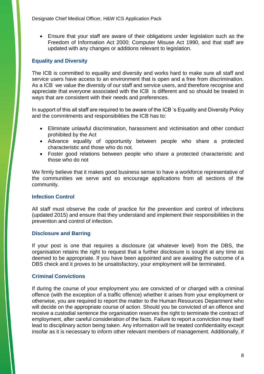• Ensure that your staff are aware of their obligations under legislation such as the Freedom of Information Act 2000; Computer Misuse Act 1990, and that staff are updated with any changes or additions relevant to legislation.

#### **Equality and Diversity**

The ICB is committed to equality and diversity and works hard to make sure all staff and service users have access to an environment that is open and a free from discrimination. As a ICB we value the diversity of our staff and service users, and therefore recognise and appreciate that everyone associated with the ICB is different and so should be treated in ways that are consistent with their needs and preferences.

In support of this all staff are required to be aware of the ICB 's Equality and Diversity Policy and the commitments and responsibilities the ICB has to:

- Eliminate unlawful discrimination, harassment and victimisation and other conduct prohibited by the Act
- Advance equality of opportunity between people who share a protected characteristic and those who do not.
- Foster good relations between people who share a protected characteristic and those who do not

We firmly believe that it makes good business sense to have a workforce representative of the communities we serve and so encourage applications from all sections of the community.

#### **Infection Control**

All staff must observe the code of practice for the prevention and control of infections (updated 2015) and ensure that they understand and implement their responsibilities in the prevention and control of infection.

#### **Disclosure and Barring**

If your post is one that requires a disclosure (at whatever level) from the DBS, the organisation retains the right to request that a further disclosure is sought at any time as deemed to be appropriate. If you have been appointed and are awaiting the outcome of a DBS check and it proves to be unsatisfactory, your employment will be terminated.

#### **Criminal Convictions**

If during the course of your employment you are convicted of or charged with a criminal offence (with the exception of a traffic offence) whether it arises from your employment or otherwise, you are required to report the matter to the Human Resources Department who will decide on the appropriate course of action. Should you be convicted of an offence and receive a custodial sentence the organisation reserves the right to terminate the contract of employment, after careful consideration of the facts. Failure to report a conviction may itself lead to disciplinary action being taken. Any information will be treated confidentiality except insofar as it is necessary to inform other relevant members of management. Additionally, if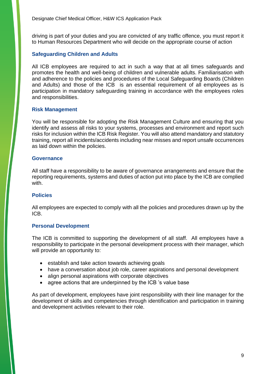driving is part of your duties and you are convicted of any traffic offence, you must report it to Human Resources Department who will decide on the appropriate course of action

#### **Safeguarding Children and Adults**

All ICB employees are required to act in such a way that at all times safeguards and promotes the health and well-being of children and vulnerable adults. Familiarisation with and adherence to the policies and procedures of the Local Safeguarding Boards (Children and Adults) and those of the ICB is an essential requirement of all employees as is participation in mandatory safeguarding training in accordance with the employees roles and responsibilities.

#### **Risk Management**

You will be responsible for adopting the Risk Management Culture and ensuring that you identify and assess all risks to your systems, processes and environment and report such risks for inclusion within the ICB Risk Register. You will also attend mandatory and statutory training, report all incidents/accidents including near misses and report unsafe occurrences as laid down within the policies.

#### **Governance**

All staff have a responsibility to be aware of governance arrangements and ensure that the reporting requirements, systems and duties of action put into place by the ICB are complied with.

#### **Policies**

All employees are expected to comply with all the policies and procedures drawn up by the ICB.

#### **Personal Development**

The ICB is committed to supporting the development of all staff. All employees have a responsibility to participate in the personal development process with their manager, which will provide an opportunity to:

- establish and take action towards achieving goals
- have a conversation about job role, career aspirations and personal development
- align personal aspirations with corporate objectives
- agree actions that are underpinned by the ICB 's value base

As part of development, employees have joint responsibility with their line manager for the development of skills and competencies through identification and participation in training and development activities relevant to their role.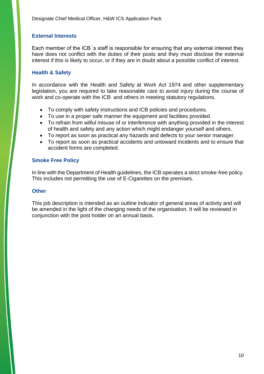#### **External Interests**

Each member of the ICB 's staff is responsible for ensuring that any external interest they have does not conflict with the duties of their posts and they must disclose the external interest if this is likely to occur, or if they are in doubt about a possible conflict of interest.

#### **Health & Safety**

In accordance with the Health and Safety at Work Act 1974 and other supplementary legislation, you are required to take reasonable care to avoid injury during the course of work and co-operate with the ICB and others in meeting statutory regulations.

- To comply with safety instructions and ICB policies and procedures.
- To use in a proper safe manner the equipment and facilities provided.
- To refrain from wilful misuse of or interference with anything provided in the interest of health and safety and any action which might endanger yourself and others.
- To report as soon as practical any hazards and defects to your senior manager.
- To report as soon as practical accidents and untoward incidents and to ensure that accident forms are completed.

#### **Smoke Free Policy**

In line with the Department of Health guidelines, the ICB operates a strict smoke-free policy. This includes not permitting the use of E-Cigarettes on the premises.

#### **Other**

This job description is intended as an outline indicator of general areas of activity and will be amended in the light of the changing needs of the organisation. It will be reviewed in conjunction with the post holder on an annual basis.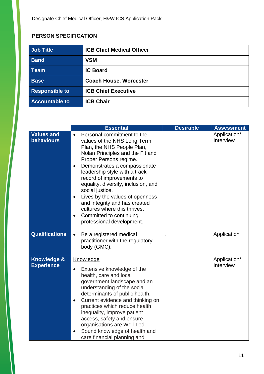### **PERSON SPECIFICATION**

| <b>Job Title</b>      | <b>ICB Chief Medical Officer</b> |
|-----------------------|----------------------------------|
| <b>Band</b>           | <b>VSM</b>                       |
| <b>Team</b>           | <b>IC Board</b>                  |
| <b>Base</b>           | <b>Coach House, Worcester</b>    |
| <b>Responsible to</b> | <b>ICB Chief Executive</b>       |
| <b>Accountable to</b> | <b>ICB Chair</b>                 |

|                                             | <b>Essential</b>                                                                                                                                                                                                                                                                                                                                                                                                                                                                                                              | <b>Desirable</b> | <b>Assessment</b>         |
|---------------------------------------------|-------------------------------------------------------------------------------------------------------------------------------------------------------------------------------------------------------------------------------------------------------------------------------------------------------------------------------------------------------------------------------------------------------------------------------------------------------------------------------------------------------------------------------|------------------|---------------------------|
| <b>Values and</b><br><b>behaviours</b>      | Personal commitment to the<br>$\bullet$<br>values of the NHS Long Term<br>Plan, the NHS People Plan,<br>Nolan Principles and the Fit and<br>Proper Persons regime.<br>Demonstrates a compassionate<br>$\bullet$<br>leadership style with a track<br>record of improvements to<br>equality, diversity, inclusion, and<br>social justice.<br>Lives by the values of openness<br>$\bullet$<br>and integrity and has created<br>cultures where this thrives.<br>Committed to continuing<br>$\bullet$<br>professional development. |                  | Application/<br>Interview |
| <b>Qualifications</b>                       | Be a registered medical<br>$\bullet$<br>practitioner with the regulatory<br>body (GMC).                                                                                                                                                                                                                                                                                                                                                                                                                                       |                  | Application               |
| <b>Knowledge &amp;</b><br><b>Experience</b> | Knowledge<br>Extensive knowledge of the<br>health, care and local<br>government landscape and an<br>understanding of the social<br>determinants of public health.<br>Current evidence and thinking on<br>$\bullet$<br>practices which reduce health<br>inequality, improve patient<br>access, safety and ensure<br>organisations are Well-Led.<br>Sound knowledge of health and<br>$\bullet$<br>care financial planning and                                                                                                   |                  | Application/<br>Interview |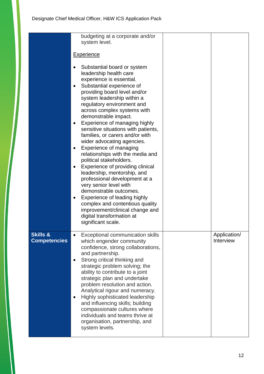|                                            | budgeting at a corporate and/or<br>system level.                                                                                                                                                                                                                                                                                                                                                                                                                                                                                                                                                                                                                                                                                                                                                                                                                                      |                           |
|--------------------------------------------|---------------------------------------------------------------------------------------------------------------------------------------------------------------------------------------------------------------------------------------------------------------------------------------------------------------------------------------------------------------------------------------------------------------------------------------------------------------------------------------------------------------------------------------------------------------------------------------------------------------------------------------------------------------------------------------------------------------------------------------------------------------------------------------------------------------------------------------------------------------------------------------|---------------------------|
|                                            | <b>Experience</b>                                                                                                                                                                                                                                                                                                                                                                                                                                                                                                                                                                                                                                                                                                                                                                                                                                                                     |                           |
|                                            | Substantial board or system<br>leadership health care<br>experience is essential.<br>Substantial experience of<br>$\bullet$<br>providing board level and/or<br>system leadership within a<br>regulatory environment and<br>across complex systems with<br>demonstrable impact.<br>Experience of managing highly<br>$\bullet$<br>sensitive situations with patients,<br>families, or carers and/or with<br>wider advocating agencies.<br>Experience of managing<br>$\bullet$<br>relationships with the media and<br>political stakeholders.<br>Experience of providing clinical<br>$\bullet$<br>leadership, mentorship, and<br>professional development at a<br>very senior level with<br>demonstrable outcomes.<br>Experience of leading highly<br>$\bullet$<br>complex and contentious quality<br>improvement/clinical change and<br>digital transformation at<br>significant scale. |                           |
| <b>Skills &amp;</b><br><b>Competencies</b> | Exceptional communication skills<br>$\bullet$<br>which engender community<br>confidence, strong collaborations,<br>and partnership.<br>Strong critical thinking and<br>$\bullet$<br>strategic problem solving; the<br>ability to contribute to a joint<br>strategic plan and undertake<br>problem resolution and action.<br>Analytical rigour and numeracy.<br>Highly sophisticated leadership<br>$\bullet$<br>and influencing skills; building<br>compassionate cultures where<br>individuals and teams thrive at<br>organisation, partnership, and<br>system levels.                                                                                                                                                                                                                                                                                                                | Application/<br>Interview |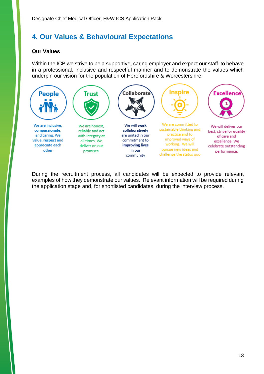# <span id="page-13-0"></span>**4. Our Values & Behavioural Expectations**

#### **Our Values**

Within the ICB we strive to be a supportive, caring employer and expect our staff to behave in a professional, inclusive and respectful manner and to demonstrate the values which underpin our vision for the population of Herefordshire & Worcestershire:



During the recruitment process, all candidates will be expected to provide relevant examples of how they demonstrate our values. Relevant information will be required during the application stage and, for shortlisted candidates, during the interview process.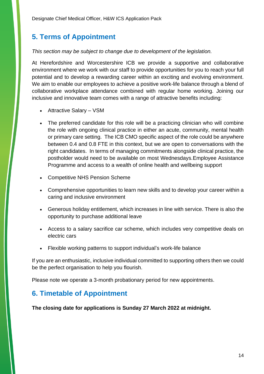# <span id="page-14-0"></span>**5. Terms of Appointment**

#### *This section may be subject to change due to development of the legislation.*

<span id="page-14-1"></span>At Herefordshire and Worcestershire ICB we provide a supportive and collaborative environment where we work with our staff to provide opportunities for you to reach your full potential and to develop a rewarding career within an exciting and evolving environment. We aim to enable our employees to achieve a positive work-life balance through a blend of collaborative workplace attendance combined with regular home working. Joining our inclusive and innovative team comes with a range of attractive benefits including:

- Attractive Salary VSM
- The preferred candidate for this role will be a practicing clinician who will combine the role with ongoing clinical practice in either an acute, community, mental health or primary care setting. The ICB CMO specific aspect of the role could be anywhere between 0.4 and 0.8 FTE in this context, but we are open to conversations with the right candidates. In terms of managing commitments alongside clinical practice, the postholder would need to be available on most Wednesdays.Employee Assistance Programme and access to a wealth of online health and wellbeing support
- Competitive NHS Pension Scheme
- Comprehensive opportunities to learn new skills and to develop your career within a caring and inclusive environment
- Generous holiday entitlement, which increases in line with service. There is also the opportunity to purchase additional leave
- Access to a salary sacrifice car scheme, which includes very competitive deals on electric cars
- Flexible working patterns to support individual's work-life balance

If you are an enthusiastic, inclusive individual committed to supporting others then we could be the perfect organisation to help you flourish.

Please note we operate a 3-month probationary period for new appointments.

## **6. Timetable of Appointment**

**The closing date for applications is Sunday 27 March 2022 at midnight.**